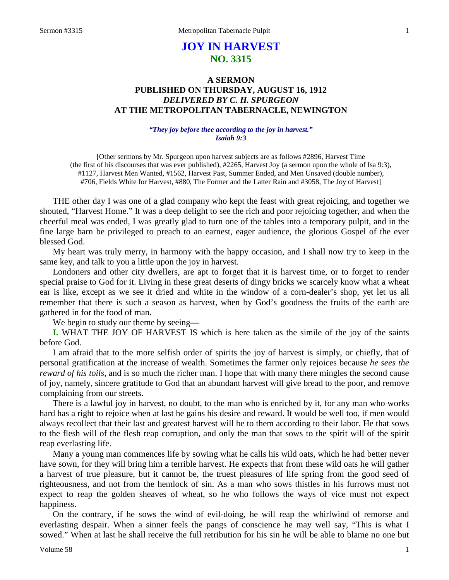# **JOY IN HARVEST NO. 3315**

# **A SERMON PUBLISHED ON THURSDAY, AUGUST 16, 1912** *DELIVERED BY C. H. SPURGEON* **AT THE METROPOLITAN TABERNACLE, NEWINGTON**

### *"They joy before thee according to the joy in harvest." Isaiah 9:3*

[Other sermons by Mr. Spurgeon upon harvest subjects are as follows #2896, Harvest Time (the first of his discourses that was ever published), #2265, Harvest Joy (a sermon upon the whole of Isa 9:3), #1127, Harvest Men Wanted, #1562, Harvest Past, Summer Ended, and Men Unsaved (double number), #706, Fields White for Harvest, #880, The Former and the Latter Rain and #3058, The Joy of Harvest]

THE other day I was one of a glad company who kept the feast with great rejoicing, and together we shouted, "Harvest Home." It was a deep delight to see the rich and poor rejoicing together, and when the cheerful meal was ended, I was greatly glad to turn one of the tables into a temporary pulpit, and in the fine large barn be privileged to preach to an earnest, eager audience, the glorious Gospel of the ever blessed God.

My heart was truly merry, in harmony with the happy occasion, and I shall now try to keep in the same key, and talk to you a little upon the joy in harvest.

Londoners and other city dwellers, are apt to forget that it is harvest time, or to forget to render special praise to God for it. Living in these great deserts of dingy bricks we scarcely know what a wheat ear is like, except as we see it dried and white in the window of a corn-dealer's shop, yet let us all remember that there is such a season as harvest, when by God's goodness the fruits of the earth are gathered in for the food of man.

We begin to study our theme by seeing**—**

**I.** WHAT THE JOY OF HARVEST IS which is here taken as the simile of the joy of the saints before God.

I am afraid that to the more selfish order of spirits the joy of harvest is simply, or chiefly, that of personal gratification at the increase of wealth. Sometimes the farmer only rejoices because *he sees the reward of his toils,* and is so much the richer man. I hope that with many there mingles the second cause of joy, namely, sincere gratitude to God that an abundant harvest will give bread to the poor, and remove complaining from our streets.

There is a lawful joy in harvest, no doubt, to the man who is enriched by it, for any man who works hard has a right to rejoice when at last he gains his desire and reward. It would be well too, if men would always recollect that their last and greatest harvest will be to them according to their labor. He that sows to the flesh will of the flesh reap corruption, and only the man that sows to the spirit will of the spirit reap everlasting life.

Many a young man commences life by sowing what he calls his wild oats, which he had better never have sown, for they will bring him a terrible harvest. He expects that from these wild oats he will gather a harvest of true pleasure, but it cannot be, the truest pleasures of life spring from the good seed of righteousness, and not from the hemlock of sin. As a man who sows thistles in his furrows must not expect to reap the golden sheaves of wheat, so he who follows the ways of vice must not expect happiness.

On the contrary, if he sows the wind of evil-doing, he will reap the whirlwind of remorse and everlasting despair. When a sinner feels the pangs of conscience he may well say, "This is what I sowed." When at last he shall receive the full retribution for his sin he will be able to blame no one but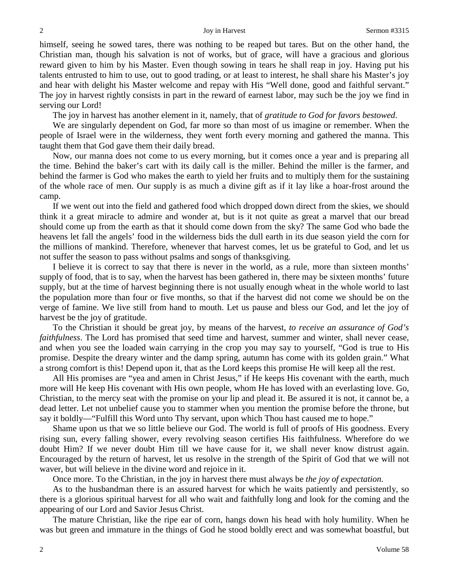himself, seeing he sowed tares, there was nothing to be reaped but tares. But on the other hand, the Christian man, though his salvation is not of works, but of grace, will have a gracious and glorious reward given to him by his Master. Even though sowing in tears he shall reap in joy. Having put his talents entrusted to him to use, out to good trading, or at least to interest, he shall share his Master's joy and hear with delight his Master welcome and repay with His "Well done, good and faithful servant." The joy in harvest rightly consists in part in the reward of earnest labor, may such be the joy we find in serving our Lord!

The joy in harvest has another element in it, namely, that of *gratitude to God for favors bestowed*.

We are singularly dependent on God, far more so than most of us imagine or remember. When the people of Israel were in the wilderness, they went forth every morning and gathered the manna. This taught them that God gave them their daily bread.

Now, our manna does not come to us every morning, but it comes once a year and is preparing all the time. Behind the baker's cart with its daily call is the miller. Behind the miller is the farmer, and behind the farmer is God who makes the earth to yield her fruits and to multiply them for the sustaining of the whole race of men. Our supply is as much a divine gift as if it lay like a hoar-frost around the camp.

If we went out into the field and gathered food which dropped down direct from the skies, we should think it a great miracle to admire and wonder at, but is it not quite as great a marvel that our bread should come up from the earth as that it should come down from the sky? The same God who bade the heavens let fall the angels' food in the wilderness bids the dull earth in its due season yield the corn for the millions of mankind. Therefore, whenever that harvest comes, let us be grateful to God, and let us not suffer the season to pass without psalms and songs of thanksgiving.

I believe it is correct to say that there is never in the world, as a rule, more than sixteen months' supply of food, that is to say, when the harvest has been gathered in, there may be sixteen months' future supply, but at the time of harvest beginning there is not usually enough wheat in the whole world to last the population more than four or five months, so that if the harvest did not come we should be on the verge of famine. We live still from hand to mouth. Let us pause and bless our God, and let the joy of harvest be the joy of gratitude.

To the Christian it should be great joy, by means of the harvest, *to receive an assurance of God's faithfulness*. The Lord has promised that seed time and harvest, summer and winter, shall never cease, and when you see the loaded wain carrying in the crop you may say to yourself, "God is true to His promise. Despite the dreary winter and the damp spring, autumn has come with its golden grain." What a strong comfort is this! Depend upon it, that as the Lord keeps this promise He will keep all the rest.

All His promises are "yea and amen in Christ Jesus," if He keeps His covenant with the earth, much more will He keep His covenant with His own people, whom He has loved with an everlasting love. Go, Christian, to the mercy seat with the promise on your lip and plead it. Be assured it is not, it cannot be, a dead letter. Let not unbelief cause you to stammer when you mention the promise before the throne, but say it boldly—"Fulfill this Word unto Thy servant, upon which Thou hast caused me to hope."

Shame upon us that we so little believe our God. The world is full of proofs of His goodness. Every rising sun, every falling shower, every revolving season certifies His faithfulness. Wherefore do we doubt Him? If we never doubt Him till we have cause for it, we shall never know distrust again. Encouraged by the return of harvest, let us resolve in the strength of the Spirit of God that we will not waver, but will believe in the divine word and rejoice in it.

Once more. To the Christian, in the joy in harvest there must always be *the joy of expectation*.

As to the husbandman there is an assured harvest for which he waits patiently and persistently, so there is a glorious spiritual harvest for all who wait and faithfully long and look for the coming and the appearing of our Lord and Savior Jesus Christ.

The mature Christian, like the ripe ear of corn, hangs down his head with holy humility. When he was but green and immature in the things of God he stood boldly erect and was somewhat boastful, but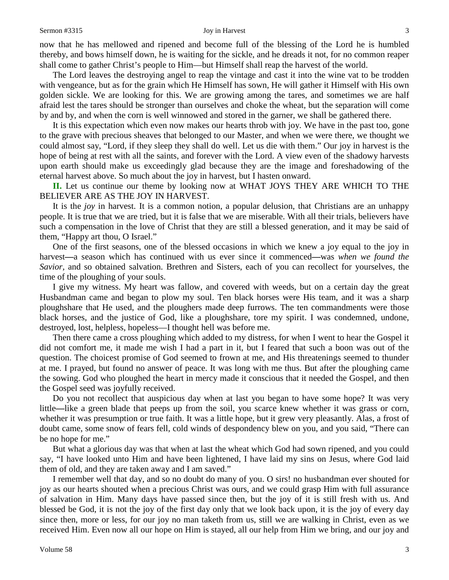### Sermon #3315 Joy in Harvest 3

now that he has mellowed and ripened and become full of the blessing of the Lord he is humbled thereby, and bows himself down, he is waiting for the sickle, and he dreads it not, for no common reaper shall come to gather Christ's people to Him—but Himself shall reap the harvest of the world.

The Lord leaves the destroying angel to reap the vintage and cast it into the wine vat to be trodden with vengeance, but as for the grain which He Himself has sown, He will gather it Himself with His own golden sickle. We are looking for this. We are growing among the tares, and sometimes we are half afraid lest the tares should be stronger than ourselves and choke the wheat, but the separation will come by and by, and when the corn is well winnowed and stored in the garner, we shall be gathered there.

It is this expectation which even now makes our hearts throb with joy. We have in the past too, gone to the grave with precious sheaves that belonged to our Master, and when we were there, we thought we could almost say, "Lord, if they sleep they shall do well. Let us die with them." Our joy in harvest is the hope of being at rest with all the saints, and forever with the Lord. A view even of the shadowy harvests upon earth should make us exceedingly glad because they are the image and foreshadowing of the eternal harvest above. So much about the joy in harvest, but I hasten onward.

**II.** Let us continue our theme by looking now at WHAT JOYS THEY ARE WHICH TO THE BELIEVER ARE AS THE JOY IN HARVEST.

It is the *joy* in harvest. It is a common notion, a popular delusion, that Christians are an unhappy people. It is true that we are tried, but it is false that we are miserable. With all their trials, believers have such a compensation in the love of Christ that they are still a blessed generation, and it may be said of them, "Happy art thou, O Israel."

One of the first seasons, one of the blessed occasions in which we knew a joy equal to the joy in harvest**—**a season which has continued with us ever since it commenced**—**was *when we found the Savior,* and so obtained salvation. Brethren and Sisters, each of you can recollect for yourselves, the time of the ploughing of your souls.

I give my witness. My heart was fallow, and covered with weeds, but on a certain day the great Husbandman came and began to plow my soul. Ten black horses were His team, and it was a sharp ploughshare that He used, and the ploughers made deep furrows. The ten commandments were those black horses, and the justice of God, like a ploughshare, tore my spirit. I was condemned, undone, destroyed, lost, helpless, hopeless—I thought hell was before me.

Then there came a cross ploughing which added to my distress, for when I went to hear the Gospel it did not comfort me, it made me wish I had a part in it, but I feared that such a boon was out of the question. The choicest promise of God seemed to frown at me, and His threatenings seemed to thunder at me. I prayed, but found no answer of peace. It was long with me thus. But after the ploughing came the sowing. God who ploughed the heart in mercy made it conscious that it needed the Gospel, and then the Gospel seed was joyfully received.

Do you not recollect that auspicious day when at last you began to have some hope? It was very little**—**like a green blade that peeps up from the soil, you scarce knew whether it was grass or corn, whether it was presumption or true faith. It was a little hope, but it grew very pleasantly. Alas, a frost of doubt came, some snow of fears fell, cold winds of despondency blew on you, and you said, "There can be no hope for me."

But what a glorious day was that when at last the wheat which God had sown ripened, and you could say, "I have looked unto Him and have been lightened, I have laid my sins on Jesus, where God laid them of old, and they are taken away and I am saved."

I remember well that day, and so no doubt do many of you. O sirs! no husbandman ever shouted for joy as our hearts shouted when a precious Christ was ours, and we could grasp Him with full assurance of salvation in Him. Many days have passed since then, but the joy of it is still fresh with us. And blessed be God, it is not the joy of the first day only that we look back upon, it is the joy of every day since then, more or less, for our joy no man taketh from us, still we are walking in Christ, even as we received Him. Even now all our hope on Him is stayed, all our help from Him we bring, and our joy and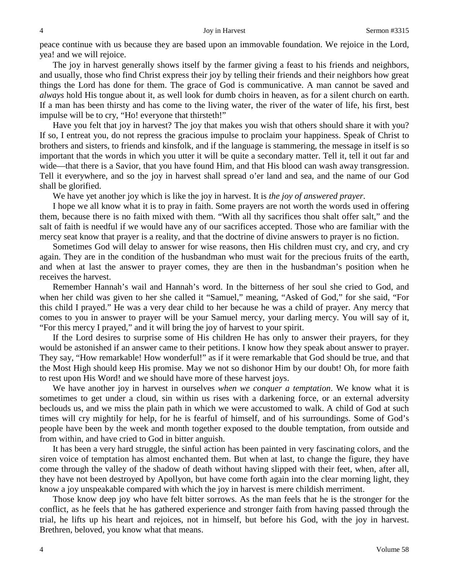peace continue with us because they are based upon an immovable foundation. We rejoice in the Lord, yea! and we will rejoice.

The joy in harvest generally shows itself by the farmer giving a feast to his friends and neighbors, and usually, those who find Christ express their joy by telling their friends and their neighbors how great things the Lord has done for them. The grace of God is communicative. A man cannot be saved and *always* hold His tongue about it, as well look for dumb choirs in heaven, as for a silent church on earth. If a man has been thirsty and has come to the living water, the river of the water of life, his first, best impulse will be to cry, "Ho! everyone that thirsteth!"

Have you felt that joy in harvest? The joy that makes you wish that others should share it with you? If so, I entreat you, do not repress the gracious impulse to proclaim your happiness. Speak of Christ to brothers and sisters, to friends and kinsfolk, and if the language is stammering, the message in itself is so important that the words in which you utter it will be quite a secondary matter. Tell it, tell it out far and wide—that there is a Savior, that you have found Him, and that His blood can wash away transgression. Tell it everywhere, and so the joy in harvest shall spread o'er land and sea, and the name of our God shall be glorified.

We have yet another joy which is like the joy in harvest. It is *the joy of answered prayer*.

I hope we all know what it is to pray in faith. Some prayers are not worth the words used in offering them, because there is no faith mixed with them. "With all thy sacrifices thou shalt offer salt," and the salt of faith is needful if we would have any of our sacrifices accepted. Those who are familiar with the mercy seat know that prayer is a reality, and that the doctrine of divine answers to prayer is no fiction.

Sometimes God will delay to answer for wise reasons, then His children must cry, and cry, and cry again. They are in the condition of the husbandman who must wait for the precious fruits of the earth, and when at last the answer to prayer comes, they are then in the husbandman's position when he receives the harvest.

Remember Hannah's wail and Hannah's word. In the bitterness of her soul she cried to God, and when her child was given to her she called it "Samuel," meaning, "Asked of God," for she said, "For this child I prayed." He was a very dear child to her because he was a child of prayer. Any mercy that comes to you in answer to prayer will be your Samuel mercy, your darling mercy. You will say of it, "For this mercy I prayed," and it will bring the joy of harvest to your spirit.

If the Lord desires to surprise some of His children He has only to answer their prayers, for they would be astonished if an answer came to their petitions. I know how they speak about answer to prayer. They say, "How remarkable! How wonderful!" as if it were remarkable that God should be true, and that the Most High should keep His promise. May we not so dishonor Him by our doubt! Oh, for more faith to rest upon His Word! and we should have more of these harvest joys.

We have another joy in harvest in ourselves *when we conquer a temptation*. We know what it is sometimes to get under a cloud, sin within us rises with a darkening force, or an external adversity beclouds us, and we miss the plain path in which we were accustomed to walk. A child of God at such times will cry mightily for help, for he is fearful of himself, and of his surroundings. Some of God's people have been by the week and month together exposed to the double temptation, from outside and from within, and have cried to God in bitter anguish.

It has been a very hard struggle, the sinful action has been painted in very fascinating colors, and the siren voice of temptation has almost enchanted them. But when at last, to change the figure, they have come through the valley of the shadow of death without having slipped with their feet, when, after all, they have not been destroyed by Apollyon, but have come forth again into the clear morning light, they know a joy unspeakable compared with which the joy in harvest is mere childish merriment.

Those know deep joy who have felt bitter sorrows. As the man feels that he is the stronger for the conflict, as he feels that he has gathered experience and stronger faith from having passed through the trial, he lifts up his heart and rejoices, not in himself, but before his God, with the joy in harvest. Brethren, beloved, you know what that means.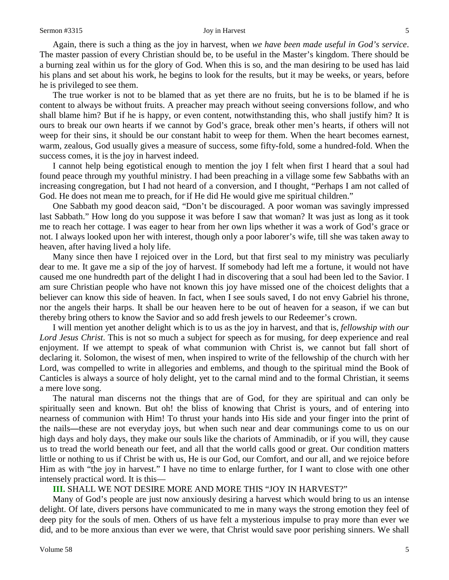### Sermon #3315 5 Sermon + 3315 5 Sermon + 3315 5 Sermon + 3315 5 Sermon +  $\frac{1}{3}$

Again, there is such a thing as the joy in harvest, when *we have been made useful in God's service*. The master passion of every Christian should be, to be useful in the Master's kingdom. There should be a burning zeal within us for the glory of God. When this is so, and the man desiring to be used has laid his plans and set about his work, he begins to look for the results, but it may be weeks, or years, before he is privileged to see them.

The true worker is not to be blamed that as yet there are no fruits, but he is to be blamed if he is content to always be without fruits. A preacher may preach without seeing conversions follow, and who shall blame him? But if he is happy, or even content, notwithstanding this, who shall justify him? It is ours to break our own hearts if we cannot by God's grace, break other men's hearts, if others will not weep for their sins, it should be our constant habit to weep for them. When the heart becomes earnest, warm, zealous, God usually gives a measure of success, some fifty-fold, some a hundred-fold. When the success comes, it is the joy in harvest indeed.

I cannot help being egotistical enough to mention the joy I felt when first I heard that a soul had found peace through my youthful ministry. I had been preaching in a village some few Sabbaths with an increasing congregation, but I had not heard of a conversion, and I thought, "Perhaps I am not called of God. He does not mean me to preach, for if He did He would give me spiritual children."

One Sabbath my good deacon said, "Don't be discouraged. A poor woman was savingly impressed last Sabbath." How long do you suppose it was before I saw that woman? It was just as long as it took me to reach her cottage. I was eager to hear from her own lips whether it was a work of God's grace or not. I always looked upon her with interest, though only a poor laborer's wife, till she was taken away to heaven, after having lived a holy life.

Many since then have I rejoiced over in the Lord, but that first seal to my ministry was peculiarly dear to me. It gave me a sip of the joy of harvest. If somebody had left me a fortune, it would not have caused me one hundredth part of the delight I had in discovering that a soul had been led to the Savior. I am sure Christian people who have not known this joy have missed one of the choicest delights that a believer can know this side of heaven. In fact, when I see souls saved, I do not envy Gabriel his throne, nor the angels their harps. It shall be our heaven here to be out of heaven for a season, if we can but thereby bring others to know the Savior and so add fresh jewels to our Redeemer's crown.

I will mention yet another delight which is to us as the joy in harvest, and that is, *fellowship with our Lord Jesus Christ*. This is not so much a subject for speech as for musing, for deep experience and real enjoyment. If we attempt to speak of what communion with Christ is, we cannot but fall short of declaring it. Solomon, the wisest of men, when inspired to write of the fellowship of the church with her Lord, was compelled to write in allegories and emblems, and though to the spiritual mind the Book of Canticles is always a source of holy delight, yet to the carnal mind and to the formal Christian, it seems a mere love song.

The natural man discerns not the things that are of God, for they are spiritual and can only be spiritually seen and known. But oh! the bliss of knowing that Christ is yours, and of entering into nearness of communion with Him! To thrust your hands into His side and your finger into the print of the nails**—**these are not everyday joys, but when such near and dear communings come to us on our high days and holy days, they make our souls like the chariots of Amminadib, or if you will, they cause us to tread the world beneath our feet, and all that the world calls good or great. Our condition matters little or nothing to us if Christ be with us, He is our God, our Comfort, and our all, and we rejoice before Him as with "the joy in harvest." I have no time to enlarge further, for I want to close with one other intensely practical word. It is this—

**III.** SHALL WE NOT DESIRE MORE AND MORE THIS "JOY IN HARVEST?"

Many of God's people are just now anxiously desiring a harvest which would bring to us an intense delight. Of late, divers persons have communicated to me in many ways the strong emotion they feel of deep pity for the souls of men. Others of us have felt a mysterious impulse to pray more than ever we did, and to be more anxious than ever we were, that Christ would save poor perishing sinners. We shall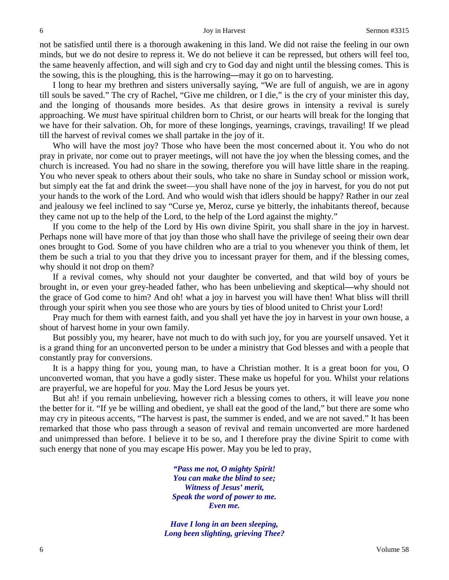not be satisfied until there is a thorough awakening in this land. We did not raise the feeling in our own minds, but we do not desire to repress it. We do not believe it can be repressed, but others will feel too, the same heavenly affection, and will sigh and cry to God day and night until the blessing comes. This is the sowing, this is the ploughing, this is the harrowing**—**may it go on to harvesting.

I long to hear my brethren and sisters universally saying, "We are full of anguish, we are in agony till souls be saved." The cry of Rachel, "Give me children, or I die," is the cry of your minister this day, and the longing of thousands more besides. As that desire grows in intensity a revival is surely approaching. We *must* have spiritual children born to Christ, or our hearts will break for the longing that we have for their salvation. Oh, for more of these longings, yearnings, cravings, travailing! If we plead till the harvest of revival comes we shall partake in the joy of it.

Who will have the most joy? Those who have been the most concerned about it. You who do not pray in private, nor come out to prayer meetings, will not have the joy when the blessing comes, and the church is increased. You had no share in the sowing, therefore you will have little share in the reaping. You who never speak to others about their souls, who take no share in Sunday school or mission work, but simply eat the fat and drink the sweet—you shall have none of the joy in harvest, for you do not put your hands to the work of the Lord. And who would wish that idlers should be happy? Rather in our zeal and jealousy we feel inclined to say "Curse ye, Meroz, curse ye bitterly, the inhabitants thereof, because they came not up to the help of the Lord, to the help of the Lord against the mighty."

If you come to the help of the Lord by His own divine Spirit, you shall share in the joy in harvest. Perhaps none will have more of that joy than those who shall have the privilege of seeing their own dear ones brought to God. Some of you have children who are a trial to you whenever you think of them, let them be such a trial to you that they drive you to incessant prayer for them, and if the blessing comes, why should it not drop on them?

If a revival comes, why should not your daughter be converted, and that wild boy of yours be brought in, or even your grey-headed father, who has been unbelieving and skeptical**—**why should not the grace of God come to him? And oh! what a joy in harvest you will have then! What bliss will thrill through your spirit when you see those who are yours by ties of blood united to Christ your Lord!

Pray much for them with earnest faith, and you shall yet have the joy in harvest in your own house, a shout of harvest home in your own family.

But possibly you, my hearer, have not much to do with such joy, for you are yourself unsaved. Yet it is a grand thing for an unconverted person to be under a ministry that God blesses and with a people that constantly pray for conversions.

It is a happy thing for you, young man, to have a Christian mother. It is a great boon for you, O unconverted woman, that you have a godly sister. These make us hopeful for you. Whilst your relations are prayerful, we are hopeful for *you*. May the Lord Jesus be yours yet.

But ah! if you remain unbelieving, however rich a blessing comes to others, it will leave *you* none the better for it. "If ye be willing and obedient, ye shall eat the good of the land," but there are some who may cry in piteous accents, "The harvest is past, the summer is ended, and we are not saved." It has been remarked that those who pass through a season of revival and remain unconverted are more hardened and unimpressed than before. I believe it to be so, and I therefore pray the divine Spirit to come with such energy that none of you may escape His power. May you be led to pray,

> *"Pass me not, O mighty Spirit! You can make the blind to see; Witness of Jesus' merit, Speak the word of power to me. Even me.*

*Have I long in an been sleeping, Long been slighting, grieving Thee?*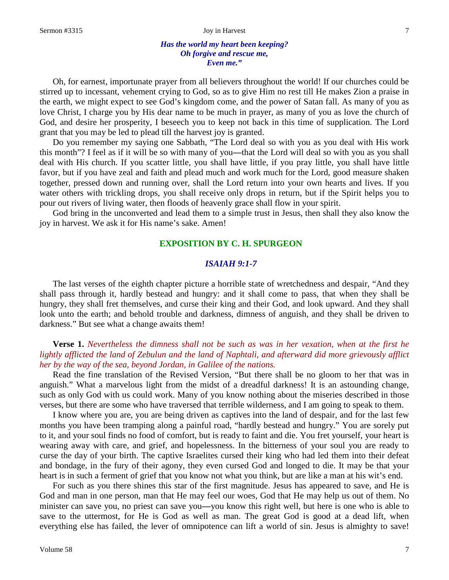Oh, for earnest, importunate prayer from all believers throughout the world! If our churches could be stirred up to incessant, vehement crying to God, so as to give Him no rest till He makes Zion a praise in the earth, we might expect to see God's kingdom come, and the power of Satan fall. As many of you as love Christ, I charge you by His dear name to be much in prayer, as many of you as love the church of God, and desire her prosperity, I beseech you to keep not back in this time of supplication. The Lord grant that you may be led to plead till the harvest joy is granted.

Do you remember my saying one Sabbath, "The Lord deal so with you as you deal with His work this month"? I feel as if it will be so with many of you**—**that the Lord will deal so with you as you shall deal with His church. If you scatter little, you shall have little, if you pray little, you shall have little favor, but if you have zeal and faith and plead much and work much for the Lord, good measure shaken together, pressed down and running over, shall the Lord return into your own hearts and lives. If you water others with trickling drops, you shall receive only drops in return, but if the Spirit helps you to pour out rivers of living water, then floods of heavenly grace shall flow in your spirit.

God bring in the unconverted and lead them to a simple trust in Jesus, then shall they also know the joy in harvest. We ask it for His name's sake. Amen!

# **EXPOSITION BY C. H. SPURGEON**

### *ISAIAH 9:1-7*

The last verses of the eighth chapter picture a horrible state of wretchedness and despair, "And they shall pass through it, hardly bestead and hungry: and it shall come to pass, that when they shall be hungry, they shall fret themselves, and curse their king and their God, and look upward. And they shall look unto the earth; and behold trouble and darkness, dimness of anguish, and they shall be driven to darkness." But see what a change awaits them!

### **Verse 1.** *Nevertheless the dimness shall not be such as was in her vexation, when at the first he lightly afflicted the land of Zebulun and the land of Naphtali, and afterward did more grievously afflict her by the way of the sea, beyond Jordan, in Galilee of the nations.*

Read the fine translation of the Revised Version, "But there shall be no gloom to her that was in anguish." What a marvelous light from the midst of a dreadful darkness! It is an astounding change, such as only God with us could work. Many of you know nothing about the miseries described in those verses, but there are some who have traversed that terrible wilderness, and I am going to speak to them.

I know where you are, you are being driven as captives into the land of despair, and for the last few months you have been tramping along a painful road, "hardly bestead and hungry." You are sorely put to it, and your soul finds no food of comfort, but is ready to faint and die. You fret yourself, your heart is wearing away with care, and grief, and hopelessness. In the bitterness of your soul you are ready to curse the day of your birth. The captive Israelites cursed their king who had led them into their defeat and bondage, in the fury of their agony, they even cursed God and longed to die. It may be that your heart is in such a ferment of grief that you know not what you think, but are like a man at his wit's end.

For such as you there shines this star of the first magnitude. Jesus has appeared to save, and He is God and man in one person, man that He may feel our woes, God that He may help us out of them. No minister can save you, no priest can save you**—**you know this right well, but here is one who is able to save to the uttermost, for He is God as well as man. The great God is good at a dead lift, when everything else has failed, the lever of omnipotence can lift a world of sin. Jesus is almighty to save!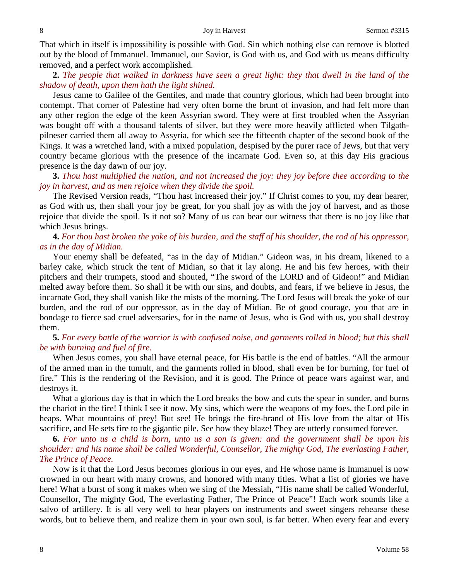8 Sermon #3315

That which in itself is impossibility is possible with God. Sin which nothing else can remove is blotted out by the blood of Immanuel. Immanuel, our Savior, is God with us, and God with us means difficulty removed, and a perfect work accomplished.

**2.** *The people that walked in darkness have seen a great light: they that dwell in the land of the shadow of death, upon them hath the light shined.*

Jesus came to Galilee of the Gentiles, and made that country glorious, which had been brought into contempt. That corner of Palestine had very often borne the brunt of invasion, and had felt more than any other region the edge of the keen Assyrian sword. They were at first troubled when the Assyrian was bought off with a thousand talents of silver, but they were more heavily afflicted when Tilgathpilneser carried them all away to Assyria, for which see the fifteenth chapter of the second book of the Kings. It was a wretched land, with a mixed population, despised by the purer race of Jews, but that very country became glorious with the presence of the incarnate God. Even so, at this day His gracious presence is the day dawn of our joy.

**3.** *Thou hast multiplied the nation, and not increased the joy: they joy before thee according to the joy in harvest, and as men rejoice when they divide the spoil.*

The Revised Version reads, "Thou hast increased their joy." If Christ comes to you, my dear hearer, as God with us, then shall your joy be great, for you shall joy as with the joy of harvest, and as those rejoice that divide the spoil. Is it not so? Many of us can bear our witness that there is no joy like that which Jesus brings.

### **4.** *For thou hast broken the yoke of his burden, and the staff of his shoulder, the rod of his oppressor, as in the day of Midian.*

Your enemy shall be defeated, "as in the day of Midian." Gideon was, in his dream, likened to a barley cake, which struck the tent of Midian, so that it lay along. He and his few heroes, with their pitchers and their trumpets, stood and shouted, "The sword of the LORD and of Gideon!" and Midian melted away before them. So shall it be with our sins, and doubts, and fears, if we believe in Jesus, the incarnate God, they shall vanish like the mists of the morning. The Lord Jesus will break the yoke of our burden, and the rod of our oppressor, as in the day of Midian. Be of good courage, you that are in bondage to fierce sad cruel adversaries, for in the name of Jesus, who is God with us, you shall destroy them.

### **5.** *For every battle of the warrior is with confused noise, and garments rolled in blood; but this shall be with burning and fuel of fire.*

When Jesus comes, you shall have eternal peace, for His battle is the end of battles. "All the armour of the armed man in the tumult, and the garments rolled in blood, shall even be for burning, for fuel of fire." This is the rendering of the Revision, and it is good. The Prince of peace wars against war, and destroys it.

What a glorious day is that in which the Lord breaks the bow and cuts the spear in sunder, and burns the chariot in the fire! I think I see it now. My sins, which were the weapons of my foes, the Lord pile in heaps. What mountains of prey! But see! He brings the fire-brand of His love from the altar of His sacrifice, and He sets fire to the gigantic pile. See how they blaze! They are utterly consumed forever.

**6.** *For unto us a child is born, unto us a son is given: and the government shall be upon his shoulder: and his name shall be called Wonderful, Counsellor, The mighty God, The everlasting Father, The Prince of Peace.*

Now is it that the Lord Jesus becomes glorious in our eyes, and He whose name is Immanuel is now crowned in our heart with many crowns, and honored with many titles. What a list of glories we have here! What a burst of song it makes when we sing of the Messiah, "His name shall be called Wonderful, Counsellor, The mighty God, The everlasting Father, The Prince of Peace"! Each work sounds like a salvo of artillery. It is all very well to hear players on instruments and sweet singers rehearse these words, but to believe them, and realize them in your own soul, is far better. When every fear and every